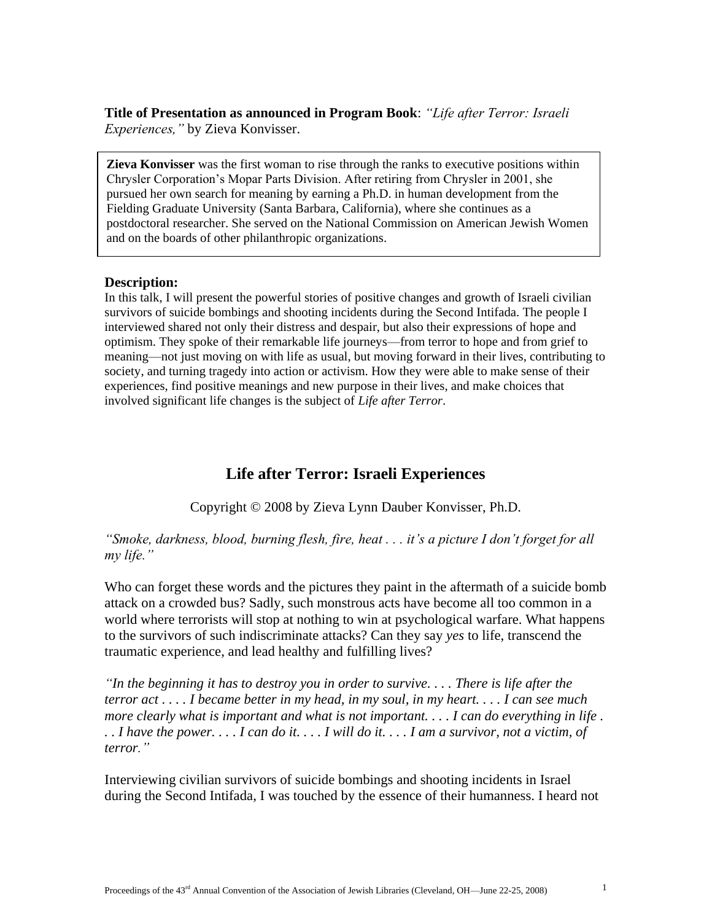**Title of Presentation as announced in Program Book**: *"Life after Terror: Israeli Experiences,"* by Zieva Konvisser.

**Zieva Konvisser** was the first woman to rise through the ranks to executive positions within Chrysler Corporation's Mopar Parts Division. After retiring from Chrysler in 2001, she pursued her own search for meaning by earning a Ph.D. in human development from the Fielding Graduate University (Santa Barbara, California), where she continues as a postdoctoral researcher. She served on the National Commission on American Jewish Women and on the boards of other philanthropic organizations.

## **Description:**

In this talk, I will present the powerful stories of positive changes and growth of Israeli civilian survivors of suicide bombings and shooting incidents during the Second Intifada. The people I interviewed shared not only their distress and despair, but also their expressions of hope and optimism. They spoke of their remarkable life journeys—from terror to hope and from grief to meaning—not just moving on with life as usual, but moving forward in their lives, contributing to society, and turning tragedy into action or activism. How they were able to make sense of their experiences, find positive meanings and new purpose in their lives, and make choices that involved significant life changes is the subject of *Life after Terror*.

## **Life after Terror: Israeli Experiences**

Copyright © 2008 by Zieva Lynn Dauber Konvisser, Ph.D.

*"Smoke, darkness, blood, burning flesh, fire, heat . . . it's a picture I don't forget for all my life."*

Who can forget these words and the pictures they paint in the aftermath of a suicide bomb attack on a crowded bus? Sadly, such monstrous acts have become all too common in a world where terrorists will stop at nothing to win at psychological warfare. What happens to the survivors of such indiscriminate attacks? Can they say *yes* to life, transcend the traumatic experience, and lead healthy and fulfilling lives?

*"In the beginning it has to destroy you in order to survive. . . . There is life after the terror act . . . . I became better in my head, in my soul, in my heart. . . . I can see much more clearly what is important and what is not important. . . . I can do everything in life . . . I have the power. . . . I can do it. . . . I will do it. . . . I am a survivor, not a victim, of terror."* 

Interviewing civilian survivors of suicide bombings and shooting incidents in Israel during the Second Intifada, I was touched by the essence of their humanness. I heard not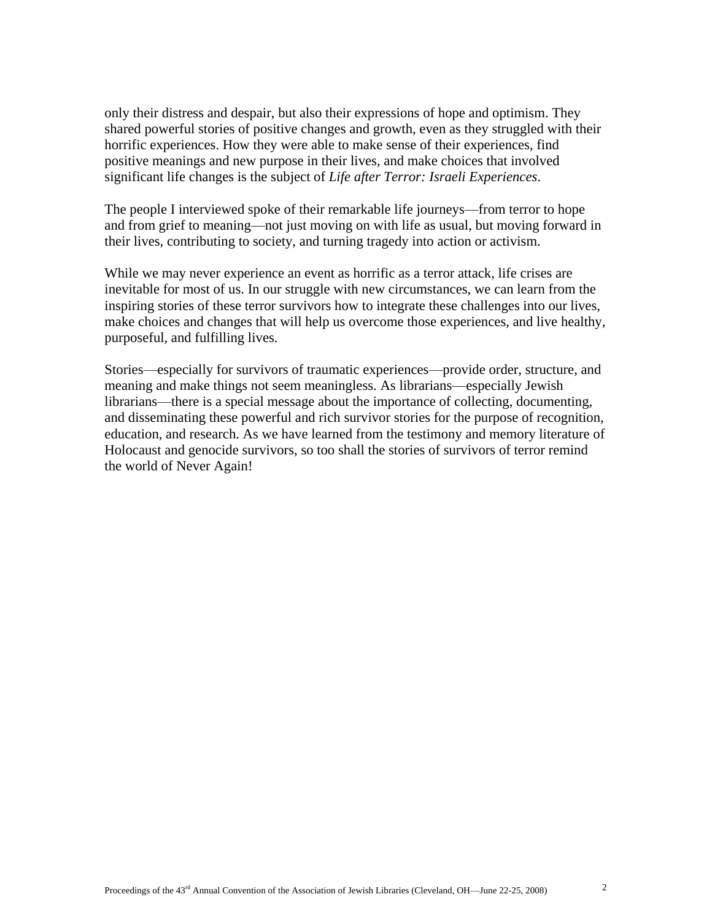only their distress and despair, but also their expressions of hope and optimism. They shared powerful stories of positive changes and growth, even as they struggled with their horrific experiences. How they were able to make sense of their experiences, find positive meanings and new purpose in their lives, and make choices that involved significant life changes is the subject of *Life after Terror: Israeli Experiences*.

The people I interviewed spoke of their remarkable life journeys—from terror to hope and from grief to meaning—not just moving on with life as usual, but moving forward in their lives, contributing to society, and turning tragedy into action or activism.

While we may never experience an event as horrific as a terror attack, life crises are inevitable for most of us. In our struggle with new circumstances, we can learn from the inspiring stories of these terror survivors how to integrate these challenges into our lives, make choices and changes that will help us overcome those experiences, and live healthy, purposeful, and fulfilling lives.

Stories—especially for survivors of traumatic experiences—provide order, structure, and meaning and make things not seem meaningless. As librarians—especially Jewish librarians—there is a special message about the importance of collecting, documenting, and disseminating these powerful and rich survivor stories for the purpose of recognition, education, and research. As we have learned from the testimony and memory literature of Holocaust and genocide survivors, so too shall the stories of survivors of terror remind the world of Never Again!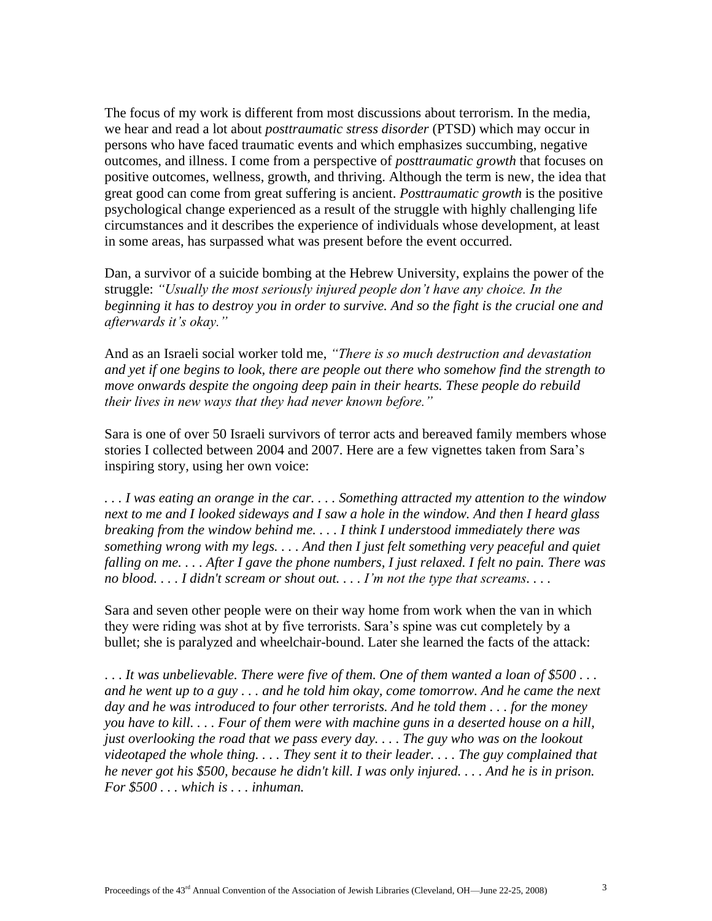The focus of my work is different from most discussions about terrorism. In the media, we hear and read a lot about *posttraumatic stress disorder* (PTSD) which may occur in persons who have faced traumatic events and which emphasizes succumbing, negative outcomes, and illness. I come from a perspective of *posttraumatic growth* that focuses on positive outcomes, wellness, growth, and thriving. Although the term is new, the idea that great good can come from great suffering is ancient. *Posttraumatic growth* is the positive psychological change experienced as a result of the struggle with highly challenging life circumstances and it describes the experience of individuals whose development, at least in some areas, has surpassed what was present before the event occurred.

Dan, a survivor of a suicide bombing at the Hebrew University, explains the power of the struggle: *"Usually the most seriously injured people don't have any choice. In the beginning it has to destroy you in order to survive. And so the fight is the crucial one and afterwards it's okay."* 

And as an Israeli social worker told me, *"There is so much destruction and devastation and yet if one begins to look, there are people out there who somehow find the strength to move onwards despite the ongoing deep pain in their hearts. These people do rebuild their lives in new ways that they had never known before."* 

Sara is one of over 50 Israeli survivors of terror acts and bereaved family members whose stories I collected between 2004 and 2007. Here are a few vignettes taken from Sara's inspiring story, using her own voice:

*. . . I was eating an orange in the car. . . . Something attracted my attention to the window next to me and I looked sideways and I saw a hole in the window. And then I heard glass breaking from the window behind me. . . . I think I understood immediately there was something wrong with my legs. . . . And then I just felt something very peaceful and quiet falling on me. . . . After I gave the phone numbers, I just relaxed. I felt no pain. There was no blood. . . . I didn't scream or shout out. . . . I'm not the type that screams. . . .* 

Sara and seven other people were on their way home from work when the van in which they were riding was shot at by five terrorists. Sara's spine was cut completely by a bullet; she is paralyzed and wheelchair-bound. Later she learned the facts of the attack:

. . . *It was unbelievable. There were five of them. One of them wanted a loan of \$500 . . . and he went up to a guy . . . and he told him okay, come tomorrow. And he came the next day and he was introduced to four other terrorists. And he told them . . . for the money you have to kill. . . . Four of them were with machine guns in a deserted house on a hill, just overlooking the road that we pass every day. . . . The guy who was on the lookout videotaped the whole thing. . . . They sent it to their leader. . . . The guy complained that he never got his \$500, because he didn't kill. I was only injured. . . . And he is in prison. For \$500 . . . which is . . . inhuman.*